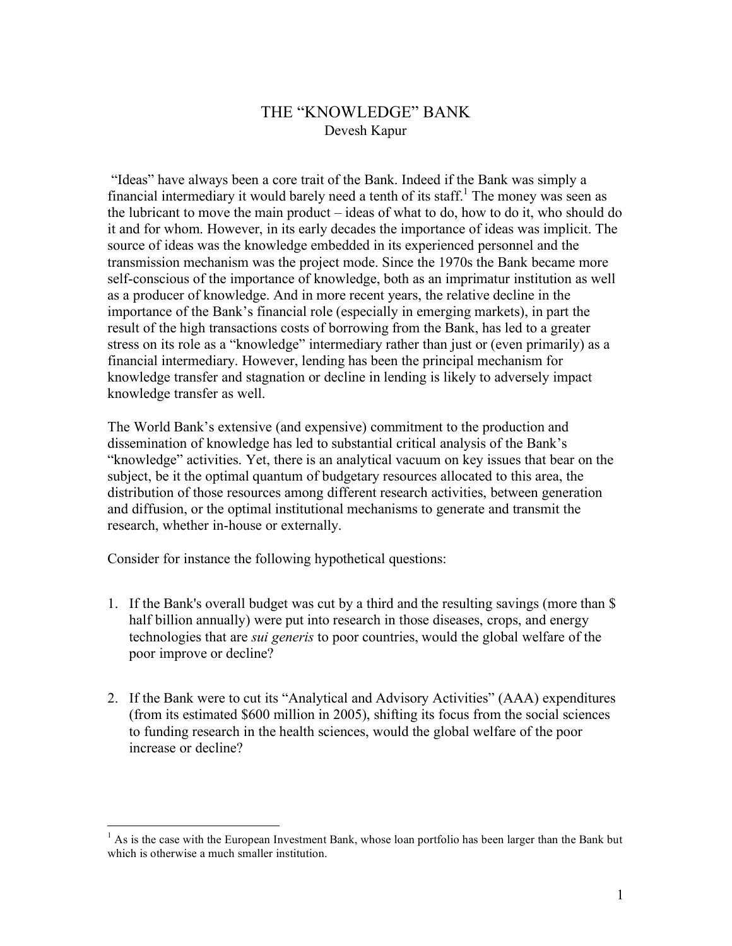## THE "KNOWLEDGE" BANK Devesh Kapur

"Ideas" have always been a core trait of the Bank. Indeed if the Bank was simply a financial intermediary it would barely need a tenth of its staff.<sup>1</sup> The money was seen as the lubricant to move the main product – ideas of what to do, how to do it, who should do it and for whom. However, in its early decades the importance of ideas was implicit. The source of ideas was the knowledge embedded in its experienced personnel and the transmission mechanism was the project mode. Since the 1970s the Bank became more self-conscious of the importance of knowledge, both as an imprimatur institution as well as a producer of knowledge. And in more recent years, the relative decline in the importance of the Bank's financial role (especially in emerging markets), in part the result of the high transactions costs of borrowing from the Bank, has led to a greater stress on its role as a "knowledge" intermediary rather than just or (even primarily) as a financial intermediary. However, lending has been the principal mechanism for knowledge transfer and stagnation or decline in lending is likely to adversely impact knowledge transfer as well.

The World Bank's extensive (and expensive) commitment to the production and dissemination of knowledge has led to substantial critical analysis of the Bank's "knowledge" activities. Yet, there is an analytical vacuum on key issues that bear on the subject, be it the optimal quantum of budgetary resources allocated to this area, the distribution of those resources among different research activities, between generation and diffusion, or the optimal institutional mechanisms to generate and transmit the research, whether in-house or externally.

Consider for instance the following hypothetical questions:

- 1. If the Bank's overall budget was cut by a third and the resulting savings (more than \$ half billion annually) were put into research in those diseases, crops, and energy technologies that are *sui generis* to poor countries, would the global welfare of the poor improve or decline?
- 2. If the Bank were to cut its "Analytical and Advisory Activities" (AAA) expenditures (from its estimated \$600 million in 2005), shifting its focus from the social sciences to funding research in the health sciences, would the global welfare of the poor increase or decline?

<sup>&</sup>lt;sup>1</sup> As is the case with the European Investment Bank, whose loan portfolio has been larger than the Bank but which is otherwise a much smaller institution.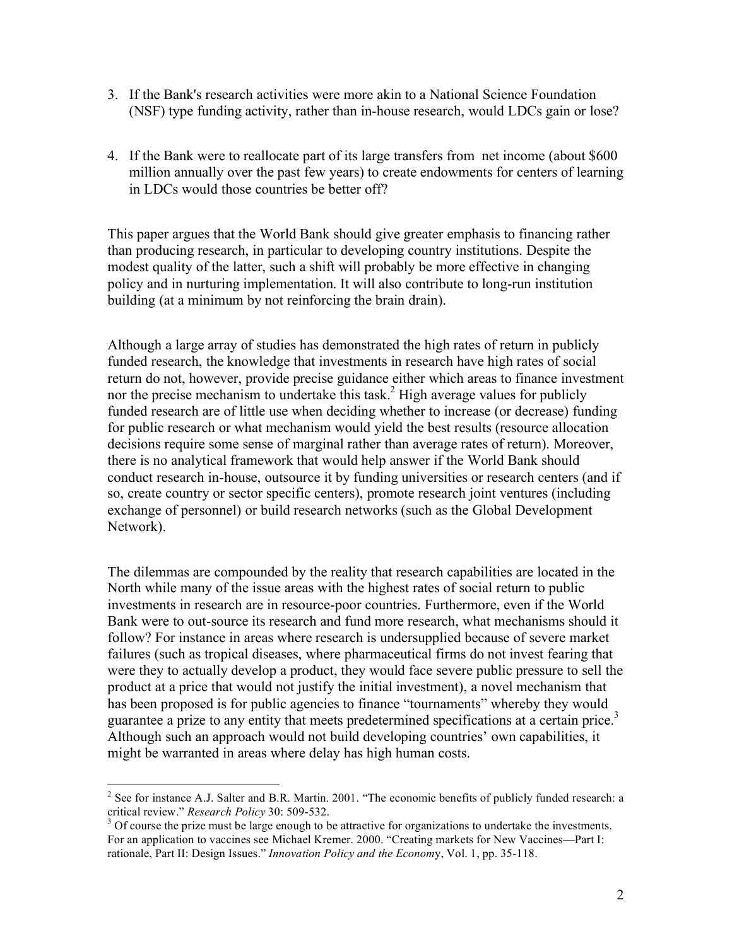- 3. If the Bank's research activities were more akin to a National Science Foundation (NSF) type funding activity, rather than in-house research, would LDCs gain or lose?
- 4. If the Bank were to reallocate part of its large transfers from net income (about \$600 million annually over the past few years) to create endowments for centers of learning in LDCs would those countries be better off?

This paper argues that the World Bank should give greater emphasis to financing rather than producing research, in particular to developing country institutions. Despite the modest quality of the latter, such a shift will probably be more effective in changing policy and in nurturing implementation. It will also contribute to long-run institution building (at a minimum by not reinforcing the brain drain).

Although a large array of studies has demonstrated the high rates of return in publicly funded research, the knowledge that investments in research have high rates of social return do not, however, provide precise guidance either which areas to finance investment nor the precise mechanism to undertake this task.2 High average values for publicly funded research are of little use when deciding whether to increase (or decrease) funding for public research or what mechanism would yield the best results (resource allocation decisions require some sense of marginal rather than average rates of return). Moreover, there is no analytical framework that would help answer if the World Bank should conduct research in-house, outsource it by funding universities or research centers (and if so, create country or sector specific centers), promote research joint ventures (including exchange of personnel) or build research networks (such as the Global Development Network).

The dilemmas are compounded by the reality that research capabilities are located in the North while many of the issue areas with the highest rates of social return to public investments in research are in resource-poor countries. Furthermore, even if the World Bank were to out-source its research and fund more research, what mechanisms should it follow? For instance in areas where research is undersupplied because of severe market failures (such as tropical diseases, where pharmaceutical firms do not invest fearing that were they to actually develop a product, they would face severe public pressure to sell the product at a price that would not justify the initial investment), a novel mechanism that has been proposed is for public agencies to finance "tournaments" whereby they would guarantee a prize to any entity that meets predetermined specifications at a certain price. 3 Although such an approach would not build developing countries' own capabilities, it might be warranted in areas where delay has high human costs.

<sup>&</sup>lt;sup>2</sup> See for instance A.J. Salter and B.R. Martin. 2001. "The economic benefits of publicly funded research: a critical review." *Research Policy* 30: 509-532.

<sup>&</sup>lt;sup>3</sup> Of course the prize must be large enough to be attractive for organizations to undertake the investments. For an application to vaccines see Michael Kremer. 2000. "Creating markets for New Vaccines—Part I: rationale, Part II: Design Issues." *Innovation Policy and the Econom*y, Vol. 1, pp. 35-118.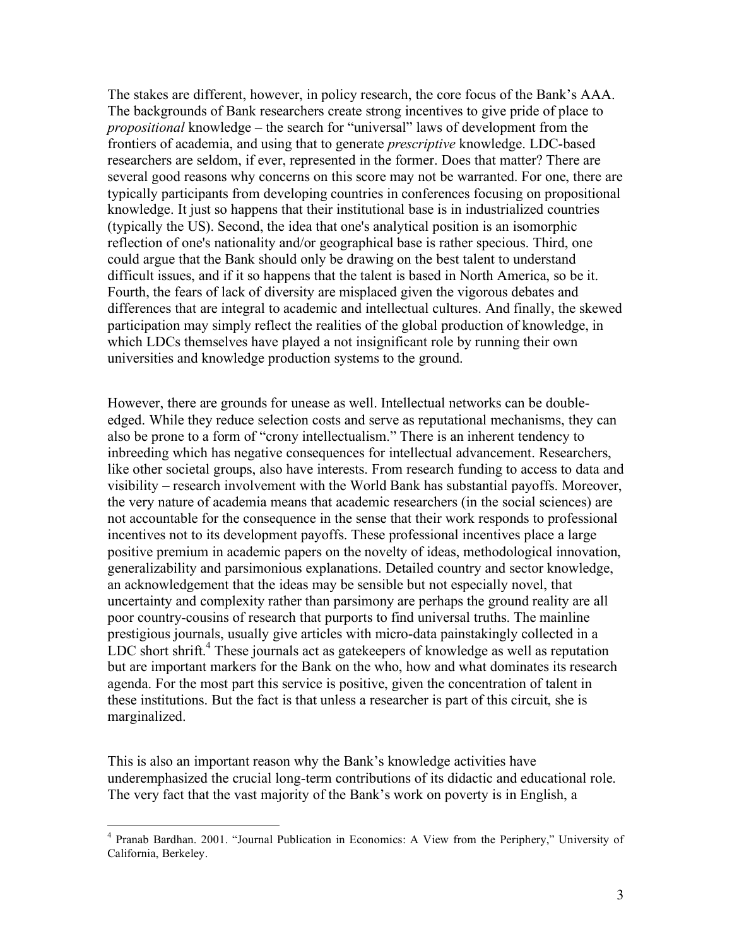The stakes are different, however, in policy research, the core focus of the Bank's AAA. The backgrounds of Bank researchers create strong incentives to give pride of place to *propositional* knowledge – the search for "universal" laws of development from the frontiers of academia, and using that to generate *prescriptive* knowledge. LDC-based researchers are seldom, if ever, represented in the former. Does that matter? There are several good reasons why concerns on this score may not be warranted. For one, there are typically participants from developing countries in conferences focusing on propositional knowledge. It just so happens that their institutional base is in industrialized countries (typically the US). Second, the idea that one's analytical position is an isomorphic reflection of one's nationality and/or geographical base is rather specious. Third, one could argue that the Bank should only be drawing on the best talent to understand difficult issues, and if it so happens that the talent is based in North America, so be it. Fourth, the fears of lack of diversity are misplaced given the vigorous debates and differences that are integral to academic and intellectual cultures. And finally, the skewed participation may simply reflect the realities of the global production of knowledge, in which LDCs themselves have played a not insignificant role by running their own universities and knowledge production systems to the ground.

However, there are grounds for unease as well. Intellectual networks can be doubleedged. While they reduce selection costs and serve as reputational mechanisms, they can also be prone to a form of "crony intellectualism." There is an inherent tendency to inbreeding which has negative consequences for intellectual advancement. Researchers, like other societal groups, also have interests. From research funding to access to data and visibility – research involvement with the World Bank has substantial payoffs. Moreover, the very nature of academia means that academic researchers (in the social sciences) are not accountable for the consequence in the sense that their work responds to professional incentives not to its development payoffs. These professional incentives place a large positive premium in academic papers on the novelty of ideas, methodological innovation, generalizability and parsimonious explanations. Detailed country and sector knowledge, an acknowledgement that the ideas may be sensible but not especially novel, that uncertainty and complexity rather than parsimony are perhaps the ground reality are all poor country-cousins of research that purports to find universal truths. The mainline prestigious journals, usually give articles with micro-data painstakingly collected in a LDC short shrift.<sup>4</sup> These journals act as gatekeepers of knowledge as well as reputation but are important markers for the Bank on the who, how and what dominates its research agenda. For the most part this service is positive, given the concentration of talent in these institutions. But the fact is that unless a researcher is part of this circuit, she is marginalized.

This is also an important reason why the Bank's knowledge activities have underemphasized the crucial long-term contributions of its didactic and educational role. The very fact that the vast majority of the Bank's work on poverty is in English, a

 <sup>4</sup> Pranab Bardhan. 2001. "Journal Publication in Economics: <sup>A</sup> View from the Periphery," University of California, Berkeley.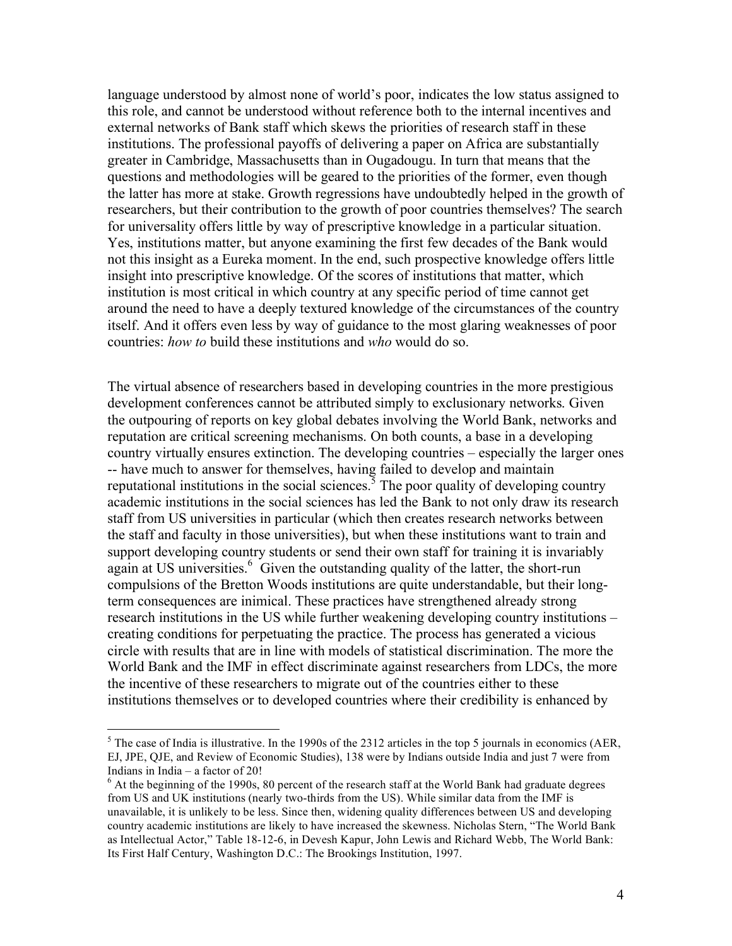language understood by almost none of world's poor, indicates the low status assigned to this role, and cannot be understood without reference both to the internal incentives and external networks of Bank staff which skews the priorities of research staff in these institutions. The professional payoffs of delivering a paper on Africa are substantially greater in Cambridge, Massachusetts than in Ougadougu. In turn that means that the questions and methodologies will be geared to the priorities of the former, even though the latter has more at stake. Growth regressions have undoubtedly helped in the growth of researchers, but their contribution to the growth of poor countries themselves? The search for universality offers little by way of prescriptive knowledge in a particular situation. Yes, institutions matter, but anyone examining the first few decades of the Bank would not this insight as a Eureka moment. In the end, such prospective knowledge offers little insight into prescriptive knowledge. Of the scores of institutions that matter, which institution is most critical in which country at any specific period of time cannot get around the need to have a deeply textured knowledge of the circumstances of the country itself. And it offers even less by way of guidance to the most glaring weaknesses of poor countries: *how to* build these institutions and *who* would do so.

The virtual absence of researchers based in developing countries in the more prestigious development conferences cannot be attributed simply to exclusionary networks. Given the outpouring of reports on key global debates involving the World Bank, networks and reputation are critical screening mechanisms. On both counts, a base in a developing country virtually ensures extinction. The developing countries – especially the larger ones -- have much to answer for themselves, having failed to develop and maintain reputational institutions in the social sciences.<sup>3</sup> The poor quality of developing country academic institutions in the social sciences has led the Bank to not only draw its research staff from US universities in particular (which then creates research networks between the staff and faculty in those universities), but when these institutions want to train and support developing country students or send their own staff for training it is invariably again at US universities.<sup>6</sup> Given the outstanding quality of the latter, the short-run compulsions of the Bretton Woods institutions are quite understandable, but their longterm consequences are inimical. These practices have strengthened already strong research institutions in the US while further weakening developing country institutions – creating conditions for perpetuating the practice. The process has generated a vicious circle with results that are in line with models of statistical discrimination. The more the World Bank and the IMF in effect discriminate against researchers from LDCs, the more the incentive of these researchers to migrate out of the countries either to these institutions themselves or to developed countries where their credibility is enhanced by

 $<sup>5</sup>$  The case of India is illustrative. In the 1990s of the 2312 articles in the top 5 journals in economics (AER,</sup> EJ, JPE, QJE, and Review of Economic Studies), 138 were by Indians outside India and just 7 were from Indians in India – a factor of 20!<br> $\frac{6}{10}$  At the beginning of the 1990s, 80 percent of the research staff at the World Bank had graduate degrees

from US and UK institutions (nearly two-thirds from the US). While similar data from the IMF is unavailable, it is unlikely to be less. Since then, widening quality differences between US and developing country academic institutions are likely to have increased the skewness. Nicholas Stern, "The World Bank as Intellectual Actor," Table 18-12-6, in Devesh Kapur, John Lewis and Richard Webb, The World Bank: Its First Half Century, Washington D.C.: The Brookings Institution, 1997.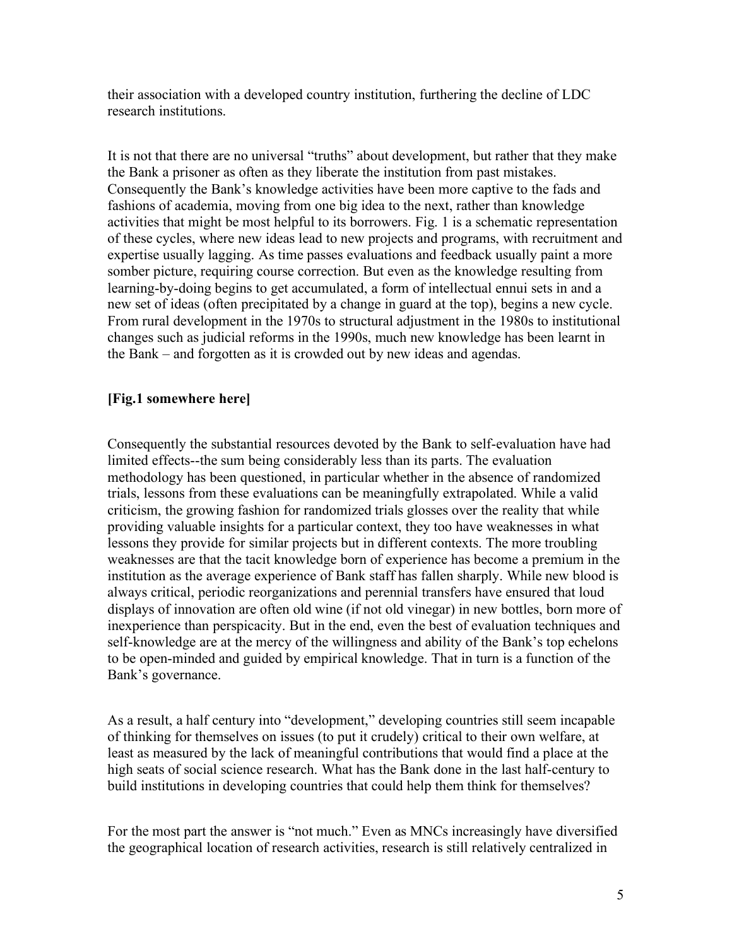their association with a developed country institution, furthering the decline of LDC research institutions.

It is not that there are no universal "truths" about development, but rather that they make the Bank a prisoner as often as they liberate the institution from past mistakes. Consequently the Bank's knowledge activities have been more captive to the fads and fashions of academia, moving from one big idea to the next, rather than knowledge activities that might be most helpful to its borrowers. Fig. 1 is a schematic representation of these cycles, where new ideas lead to new projects and programs, with recruitment and expertise usually lagging. As time passes evaluations and feedback usually paint a more somber picture, requiring course correction. But even as the knowledge resulting from learning-by-doing begins to get accumulated, a form of intellectual ennui sets in and a new set of ideas (often precipitated by a change in guard at the top), begins a new cycle. From rural development in the 1970s to structural adjustment in the 1980s to institutional changes such as judicial reforms in the 1990s, much new knowledge has been learnt in the Bank – and forgotten as it is crowded out by new ideas and agendas.

## **[Fig.1 somewhere here]**

Consequently the substantial resources devoted by the Bank to self-evaluation have had limited effects--the sum being considerably less than its parts. The evaluation methodology has been questioned, in particular whether in the absence of randomized trials, lessons from these evaluations can be meaningfully extrapolated. While a valid criticism, the growing fashion for randomized trials glosses over the reality that while providing valuable insights for a particular context, they too have weaknesses in what lessons they provide for similar projects but in different contexts. The more troubling weaknesses are that the tacit knowledge born of experience has become a premium in the institution as the average experience of Bank staff has fallen sharply. While new blood is always critical, periodic reorganizations and perennial transfers have ensured that loud displays of innovation are often old wine (if not old vinegar) in new bottles, born more of inexperience than perspicacity. But in the end, even the best of evaluation techniques and self-knowledge are at the mercy of the willingness and ability of the Bank's top echelons to be open-minded and guided by empirical knowledge. That in turn is a function of the Bank's governance.

As a result, a half century into "development," developing countries still seem incapable of thinking for themselves on issues (to put it crudely) critical to their own welfare, at least as measured by the lack of meaningful contributions that would find a place at the high seats of social science research. What has the Bank done in the last half-century to build institutions in developing countries that could help them think for themselves?

For the most part the answer is "not much." Even as MNCs increasingly have diversified the geographical location of research activities, research is still relatively centralized in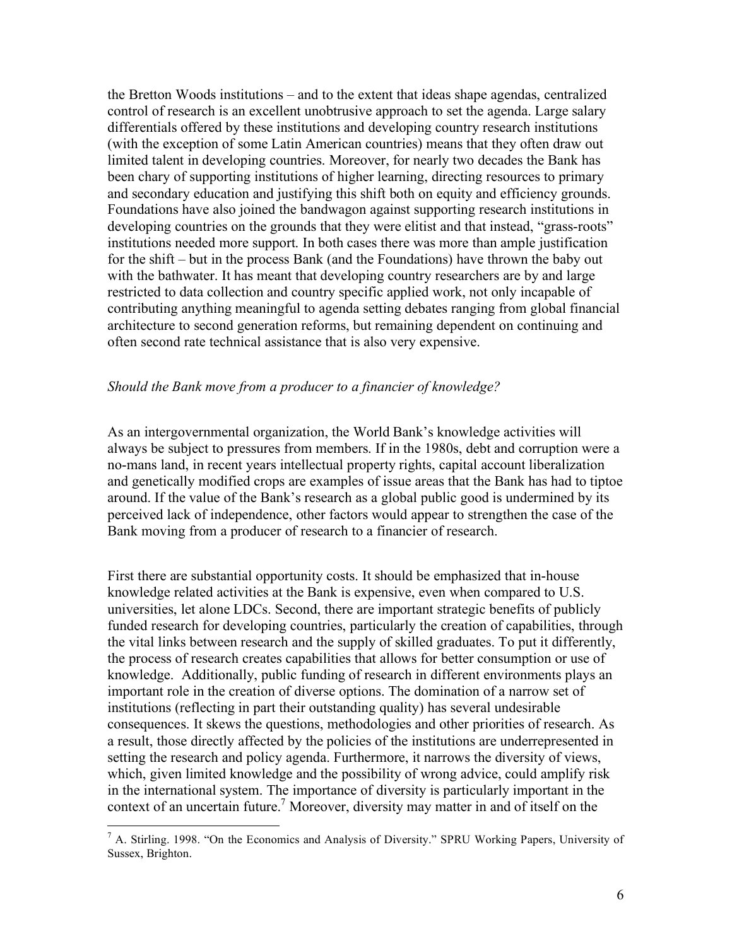the Bretton Woods institutions – and to the extent that ideas shape agendas, centralized control of research is an excellent unobtrusive approach to set the agenda. Large salary differentials offered by these institutions and developing country research institutions (with the exception of some Latin American countries) means that they often draw out limited talent in developing countries. Moreover, for nearly two decades the Bank has been chary of supporting institutions of higher learning, directing resources to primary and secondary education and justifying this shift both on equity and efficiency grounds. Foundations have also joined the bandwagon against supporting research institutions in developing countries on the grounds that they were elitist and that instead, "grass-roots" institutions needed more support. In both cases there was more than ample justification for the shift – but in the process Bank (and the Foundations) have thrown the baby out with the bathwater. It has meant that developing country researchers are by and large restricted to data collection and country specific applied work, not only incapable of contributing anything meaningful to agenda setting debates ranging from global financial architecture to second generation reforms, but remaining dependent on continuing and often second rate technical assistance that is also very expensive.

## *Should the Bank move from a producer to a financier of knowledge?*

As an intergovernmental organization, the World Bank's knowledge activities will always be subject to pressures from members. If in the 1980s, debt and corruption were a no-mans land, in recent years intellectual property rights, capital account liberalization and genetically modified crops are examples of issue areas that the Bank has had to tiptoe around. If the value of the Bank's research as a global public good is undermined by its perceived lack of independence, other factors would appear to strengthen the case of the Bank moving from a producer of research to a financier of research.

First there are substantial opportunity costs. It should be emphasized that in-house knowledge related activities at the Bank is expensive, even when compared to U.S. universities, let alone LDCs. Second, there are important strategic benefits of publicly funded research for developing countries, particularly the creation of capabilities, through the vital links between research and the supply of skilled graduates. To put it differently, the process of research creates capabilities that allows for better consumption or use of knowledge. Additionally, public funding of research in different environments plays an important role in the creation of diverse options. The domination of a narrow set of institutions (reflecting in part their outstanding quality) has several undesirable consequences. It skews the questions, methodologies and other priorities of research. As a result, those directly affected by the policies of the institutions are underrepresented in setting the research and policy agenda. Furthermore, it narrows the diversity of views, which, given limited knowledge and the possibility of wrong advice, could amplify risk in the international system. The importance of diversity is particularly important in the context of an uncertain future. <sup>7</sup> Moreover, diversity may matter in and of itself on the

 <sup>7</sup> A. Stirling. 1998. "On the Economics and Analysis of Diversity." SPRU Working Papers, University of Sussex, Brighton.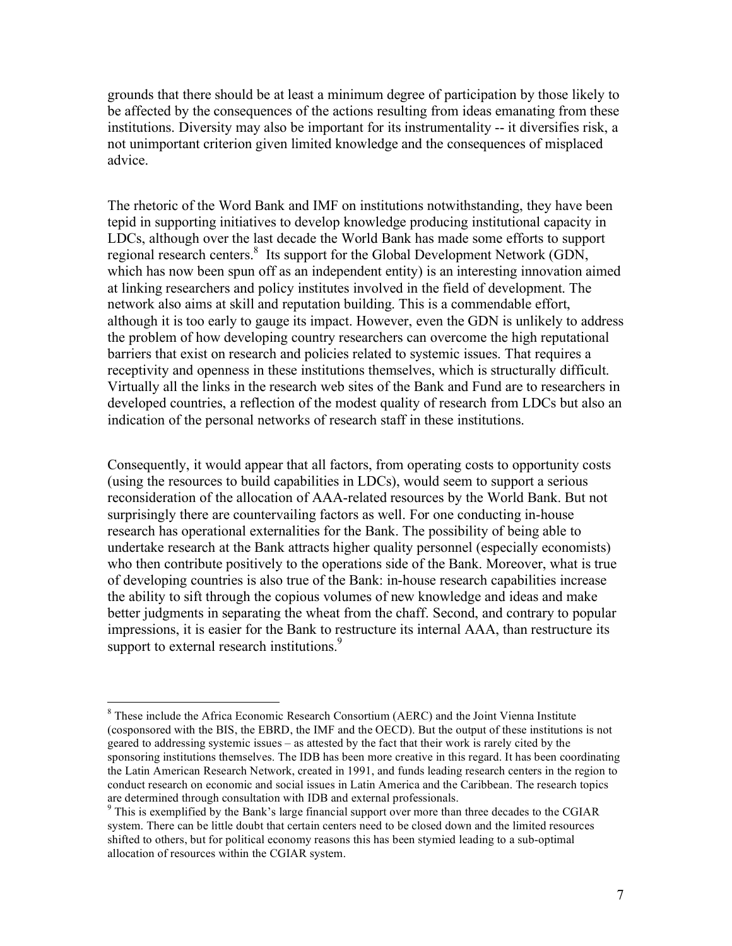grounds that there should be at least a minimum degree of participation by those likely to be affected by the consequences of the actions resulting from ideas emanating from these institutions. Diversity may also be important for its instrumentality -- it diversifies risk, a not unimportant criterion given limited knowledge and the consequences of misplaced advice.

The rhetoric of the Word Bank and IMF on institutions notwithstanding, they have been tepid in supporting initiatives to develop knowledge producing institutional capacity in LDCs, although over the last decade the World Bank has made some efforts to support regional research centers.<sup>8</sup> Its support for the Global Development Network (GDN, which has now been spun off as an independent entity) is an interesting innovation aimed at linking researchers and policy institutes involved in the field of development. The network also aims at skill and reputation building. This is a commendable effort, although it is too early to gauge its impact. However, even the GDN is unlikely to address the problem of how developing country researchers can overcome the high reputational barriers that exist on research and policies related to systemic issues. That requires a receptivity and openness in these institutions themselves, which is structurally difficult. Virtually all the links in the research web sites of the Bank and Fund are to researchers in developed countries, a reflection of the modest quality of research from LDCs but also an indication of the personal networks of research staff in these institutions.

Consequently, it would appear that all factors, from operating costs to opportunity costs (using the resources to build capabilities in LDCs), would seem to support a serious reconsideration of the allocation of AAA-related resources by the World Bank. But not surprisingly there are countervailing factors as well. For one conducting in-house research has operational externalities for the Bank. The possibility of being able to undertake research at the Bank attracts higher quality personnel (especially economists) who then contribute positively to the operations side of the Bank. Moreover, what is true of developing countries is also true of the Bank: in-house research capabilities increase the ability to sift through the copious volumes of new knowledge and ideas and make better judgments in separating the wheat from the chaff. Second, and contrary to popular impressions, it is easier for the Bank to restructure its internal AAA, than restructure its support to external research institutions.<sup>9</sup>

 <sup>8</sup> These include the Africa Economic Research Consortium (AERC) and the Joint Vienna Institute (cosponsored with the BIS, the EBRD, the IMF and the OECD). But the output of these institutions is not geared to addressing systemic issues – as attested by the fact that their work is rarely cited by the sponsoring institutions themselves. The IDB has been more creative in this regard. It has been coordinating the Latin American Research Network, created in 1991, and funds leading research centers in the region to conduct research on economic and social issues in Latin America and the Caribbean. The research topics are determined through consultation with IDB and external professionals.<br><sup>9</sup> This is exemplified by the Bank's large financial support over more than three decades to the CGIAR

system. There can be little doubt that certain centers need to be closed down and the limited resources shifted to others, but for political economy reasons this has been stymied leading to a sub-optimal allocation of resources within the CGIAR system.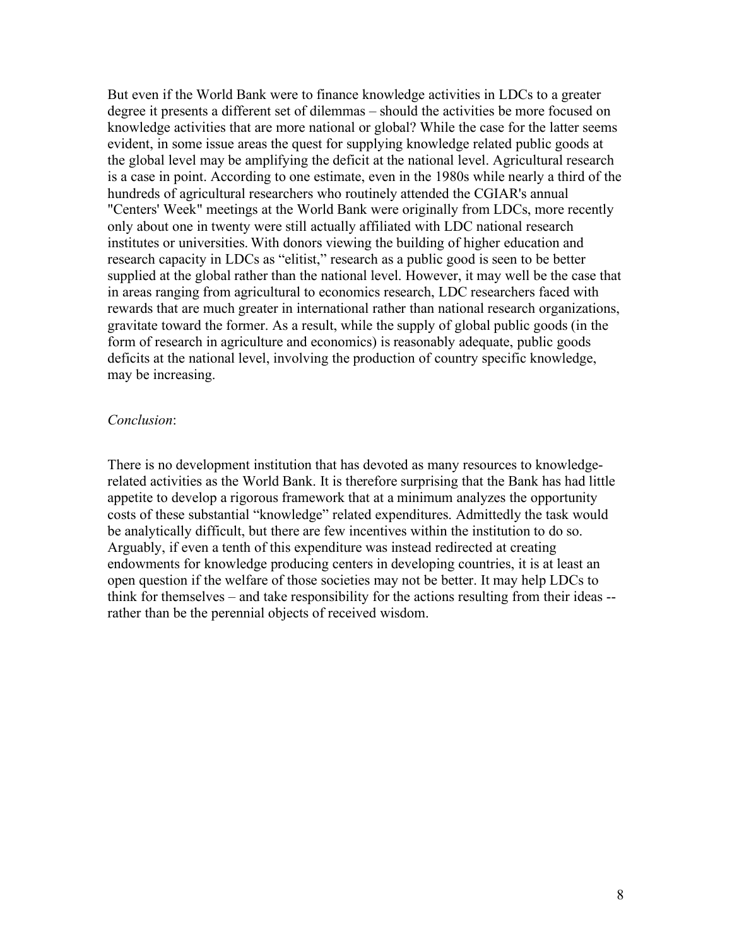But even if the World Bank were to finance knowledge activities in LDCs to a greater degree it presents a different set of dilemmas – should the activities be more focused on knowledge activities that are more national or global? While the case for the latter seems evident, in some issue areas the quest for supplying knowledge related public goods at the global level may be amplifying the deficit at the national level. Agricultural research is a case in point. According to one estimate, even in the 1980s while nearly a third of the hundreds of agricultural researchers who routinely attended the CGIAR's annual "Centers' Week" meetings at the World Bank were originally from LDCs, more recently only about one in twenty were still actually affiliated with LDC national research institutes or universities. With donors viewing the building of higher education and research capacity in LDCs as "elitist," research as a public good is seen to be better supplied at the global rather than the national level. However, it may well be the case that in areas ranging from agricultural to economics research, LDC researchers faced with rewards that are much greater in international rather than national research organizations, gravitate toward the former. As a result, while the supply of global public goods (in the form of research in agriculture and economics) is reasonably adequate, public goods deficits at the national level, involving the production of country specific knowledge, may be increasing.

## *Conclusion*:

There is no development institution that has devoted as many resources to knowledgerelated activities as the World Bank. It is therefore surprising that the Bank has had little appetite to develop a rigorous framework that at a minimum analyzes the opportunity costs of these substantial "knowledge" related expenditures. Admittedly the task would be analytically difficult, but there are few incentives within the institution to do so. Arguably, if even a tenth of this expenditure was instead redirected at creating endowments for knowledge producing centers in developing countries, it is at least an open question if the welfare of those societies may not be better. It may help LDCs to think for themselves – and take responsibility for the actions resulting from their ideas - rather than be the perennial objects of received wisdom.